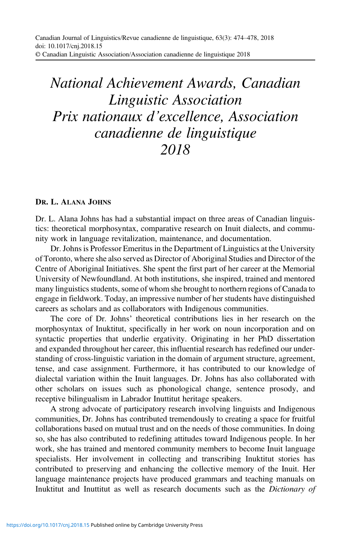## National Achievement Awards, Canadian Linguistic Association Prix nationaux d'excellence, Association canadienne de linguistique 2018

## DR. L. ALANA JOHNS

Dr. L. Alana Johns has had a substantial impact on three areas of Canadian linguistics: theoretical morphosyntax, comparative research on Inuit dialects, and community work in language revitalization, maintenance, and documentation.

Dr. Johns is Professor Emeritus in the Department of Linguistics at the University of Toronto, where she also served as Director of Aboriginal Studies and Director of the Centre of Aboriginal Initiatives. She spent the first part of her career at the Memorial University of Newfoundland. At both institutions, she inspired, trained and mentored many linguistics students, some of whom she brought to northern regions of Canada to engage in fieldwork. Today, an impressive number of her students have distinguished careers as scholars and as collaborators with Indigenous communities.

The core of Dr. Johns' theoretical contributions lies in her research on the morphosyntax of Inuktitut, specifically in her work on noun incorporation and on syntactic properties that underlie ergativity. Originating in her PhD dissertation and expanded throughout her career, this influential research has redefined our understanding of cross-linguistic variation in the domain of argument structure, agreement, tense, and case assignment. Furthermore, it has contributed to our knowledge of dialectal variation within the Inuit languages. Dr. Johns has also collaborated with other scholars on issues such as phonological change, sentence prosody, and receptive bilingualism in Labrador Inuttitut heritage speakers.

A strong advocate of participatory research involving linguists and Indigenous communities, Dr. Johns has contributed tremendously to creating a space for fruitful collaborations based on mutual trust and on the needs of those communities. In doing so, she has also contributed to redefining attitudes toward Indigenous people. In her work, she has trained and mentored community members to become Inuit language specialists. Her involvement in collecting and transcribing Inuktitut stories has contributed to preserving and enhancing the collective memory of the Inuit. Her language maintenance projects have produced grammars and teaching manuals on Inuktitut and Inuttitut as well as research documents such as the Dictionary of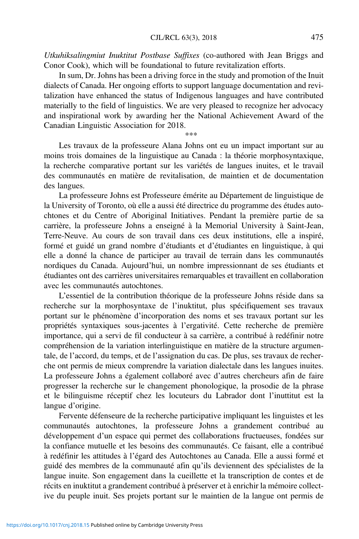Utkuhiksalingmiut Inuktitut Postbase Suffixes (co-authored with Jean Briggs and Conor Cook), which will be foundational to future revitalization efforts.

In sum, Dr. Johns has been a driving force in the study and promotion of the Inuit dialects of Canada. Her ongoing efforts to support language documentation and revitalization have enhanced the status of Indigenous languages and have contributed materially to the field of linguistics. We are very pleased to recognize her advocacy and inspirational work by awarding her the National Achievement Award of the Canadian Linguistic Association for 2018.

Les travaux de la professeure Alana Johns ont eu un impact important sur au moins trois domaines de la linguistique au Canada : la théorie morphosyntaxique, la recherche comparative portant sur les variétés de langues inuites, et le travail des communautés en matière de revitalisation, de maintien et de documentation des langues.

\*\*\*

La professeure Johns est Professeure émérite au Département de linguistique de la University of Toronto, où elle a aussi été directrice du programme des études autochtones et du Centre of Aboriginal Initiatives. Pendant la première partie de sa carrière, la professeure Johns a enseigné à la Memorial University à Saint-Jean, Terre-Neuve. Au cours de son travail dans ces deux institutions, elle a inspiré, formé et guidé un grand nombre d'étudiants et d'étudiantes en linguistique, à qui elle a donné la chance de participer au travail de terrain dans les communautés nordiques du Canada. Aujourd'hui, un nombre impressionnant de ses étudiants et étudiantes ont des carrières universitaires remarquables et travaillent en collaboration avec les communautés autochtones.

L'essentiel de la contribution théorique de la professeure Johns réside dans sa recherche sur la morphosyntaxe de l'inuktitut, plus spécifiquement ses travaux portant sur le phénomène d'incorporation des noms et ses travaux portant sur les propriétés syntaxiques sous-jacentes à l'ergativité. Cette recherche de première importance, qui a servi de fil conducteur à sa carrière, a contribué à redéfinir notre compréhension de la variation interlinguistique en matière de la structure argumentale, de l'accord, du temps, et de l'assignation du cas. De plus, ses travaux de recherche ont permis de mieux comprendre la variation dialectale dans les langues inuites. La professeure Johns a également collaboré avec d'autres chercheurs afin de faire progresser la recherche sur le changement phonologique, la prosodie de la phrase et le bilinguisme réceptif chez les locuteurs du Labrador dont l'inuttitut est la langue d'origine.

Fervente défenseure de la recherche participative impliquant les linguistes et les communautés autochtones, la professeure Johns a grandement contribué au développement d'un espace qui permet des collaborations fructueuses, fondées sur la confiance mutuelle et les besoins des communautés. Ce faisant, elle a contribué à redéfinir les attitudes à l'égard des Autochtones au Canada. Elle a aussi formé et guidé des membres de la communauté afin qu'ils deviennent des spécialistes de la langue inuite. Son engagement dans la cueillette et la transcription de contes et de récits en inuktitut a grandement contribué à préserver et à enrichir la mémoire collective du peuple inuit. Ses projets portant sur le maintien de la langue ont permis de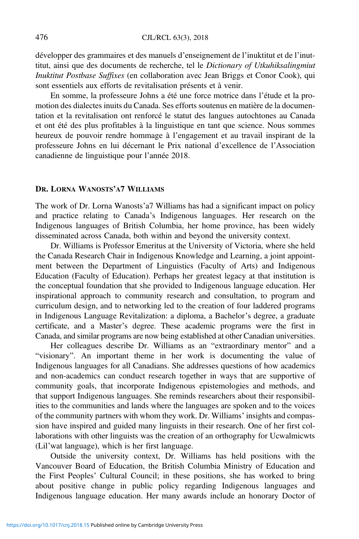développer des grammaires et des manuels d'enseignement de l'inuktitut et de l'inuttitut, ainsi que des documents de recherche, tel le Dictionary of Utkuhiksalingmiut Inuktitut Postbase Suffixes (en collaboration avec Jean Briggs et Conor Cook), qui sont essentiels aux efforts de revitalisation présents et à venir.

En somme, la professeure Johns a été une force motrice dans l'étude et la promotion des dialectes inuits du Canada. Ses efforts soutenus en matière de la documentation et la revitalisation ont renforcé le statut des langues autochtones au Canada et ont été des plus profitables à la linguistique en tant que science. Nous sommes heureux de pouvoir rendre hommage à l'engagement et au travail inspirant de la professeure Johns en lui décernant le Prix national d'excellence de l'Association canadienne de linguistique pour l'année 2018.

## DR. LORNA WANOSTS'A7 WILLIAMS

The work of Dr. Lorna Wanosts'a7 Williams has had a significant impact on policy and practice relating to Canada's Indigenous languages. Her research on the Indigenous languages of British Columbia, her home province, has been widely disseminated across Canada, both within and beyond the university context.

Dr. Williams is Professor Emeritus at the University of Victoria, where she held the Canada Research Chair in Indigenous Knowledge and Learning, a joint appointment between the Department of Linguistics (Faculty of Arts) and Indigenous Education (Faculty of Education). Perhaps her greatest legacy at that institution is the conceptual foundation that she provided to Indigenous language education. Her inspirational approach to community research and consultation, to program and curriculum design, and to networking led to the creation of four laddered programs in Indigenous Language Revitalization: a diploma, a Bachelor's degree, a graduate certificate, and a Master's degree. These academic programs were the first in Canada, and similar programs are now being established at other Canadian universities.

Her colleagues describe Dr. Williams as an "extraordinary mentor" and a "visionary". An important theme in her work is documenting the value of Indigenous languages for all Canadians. She addresses questions of how academics and non-academics can conduct research together in ways that are supportive of community goals, that incorporate Indigenous epistemologies and methods, and that support Indigenous languages. She reminds researchers about their responsibilities to the communities and lands where the languages are spoken and to the voices of the community partners with whom they work. Dr. Williams' insights and compassion have inspired and guided many linguists in their research. One of her first collaborations with other linguists was the creation of an orthography for Ucwalmicwts (Lil'wat language), which is her first language.

Outside the university context, Dr. Williams has held positions with the Vancouver Board of Education, the British Columbia Ministry of Education and the First Peoples' Cultural Council; in these positions, she has worked to bring about positive change in public policy regarding Indigenous languages and Indigenous language education. Her many awards include an honorary Doctor of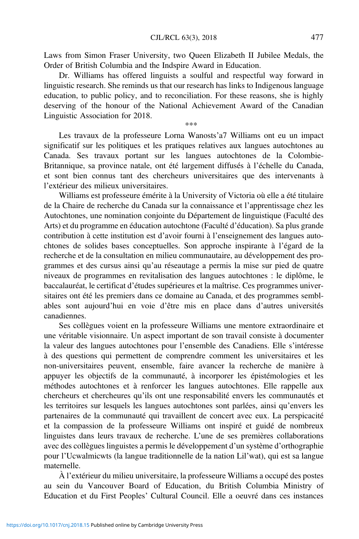Laws from Simon Fraser University, two Queen Elizabeth II Jubilee Medals, the Order of British Columbia and the Indspire Award in Education.

Dr. Williams has offered linguists a soulful and respectful way forward in linguistic research. She reminds us that our research has links to Indigenous language education, to public policy, and to reconciliation. For these reasons, she is highly deserving of the honour of the National Achievement Award of the Canadian Linguistic Association for 2018.

\*\*\*

Les travaux de la professeure Lorna Wanosts'a7 Williams ont eu un impact significatif sur les politiques et les pratiques relatives aux langues autochtones au Canada. Ses travaux portant sur les langues autochtones de la Colombie-Britannique, sa province natale, ont été largement diffusés à l'échelle du Canada, et sont bien connus tant des chercheurs universitaires que des intervenants à l'extérieur des milieux universitaires.

Williams est professeure émérite à la University of Victoria où elle a été titulaire de la Chaire de recherche du Canada sur la connaissance et l'apprentissage chez les Autochtones, une nomination conjointe du Département de linguistique (Faculté des Arts) et du programme en éducation autochtone (Faculté d'éducation). Sa plus grande contribution à cette institution est d'avoir fourni à l'enseignement des langues autochtones de solides bases conceptuelles. Son approche inspirante à l'égard de la recherche et de la consultation en milieu communautaire, au développement des programmes et des cursus ainsi qu'au réseautage a permis la mise sur pied de quatre niveaux de programmes en revitalisation des langues autochtones : le diplôme, le baccalauréat, le certificat d'études supérieures et la maîtrise. Ces programmes universitaires ont été les premiers dans ce domaine au Canada, et des programmes semblables sont aujourd'hui en voie d'être mis en place dans d'autres universités canadiennes.

Ses collègues voient en la professeure Williams une mentore extraordinaire et une véritable visionnaire. Un aspect important de son travail consiste à documenter la valeur des langues autochtones pour l'ensemble des Canadiens. Elle s'intéresse à des questions qui permettent de comprendre comment les universitaires et les non-universitaires peuvent, ensemble, faire avancer la recherche de manière à appuyer les objectifs de la communauté, à incorporer les épistémologies et les méthodes autochtones et à renforcer les langues autochtones. Elle rappelle aux chercheurs et chercheures qu'ils ont une responsabilité envers les communautés et les territoires sur lesquels les langues autochtones sont parlées, ainsi qu'envers les partenaires de la communauté qui travaillent de concert avec eux. La perspicacité et la compassion de la professeure Williams ont inspiré et guidé de nombreux linguistes dans leurs travaux de recherche. L'une de ses premières collaborations avec des collègues linguistes a permis le développement d'un système d'orthographie pour l'Ucwalmicwts (la langue traditionnelle de la nation Lil'wat), qui est sa langue maternelle.

À l'extérieur du milieu universitaire, la professeure Williams a occupé des postes au sein du Vancouver Board of Education, du British Columbia Ministry of Education et du First Peoples' Cultural Council. Elle a oeuvré dans ces instances